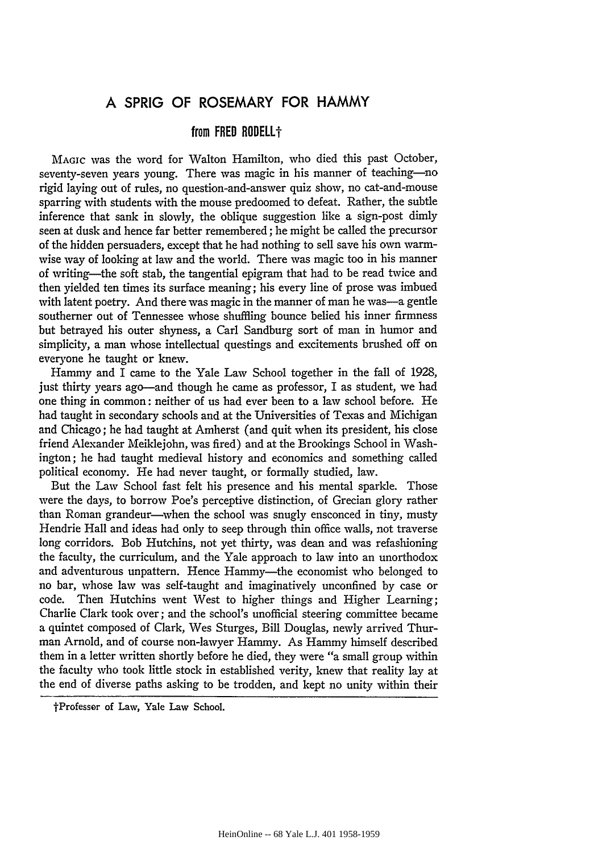## **A** SPRIG OF ROSEMARY FOR HAMMY

## from FRED **RODELLi**

**MAGIC** was the word for Walton Hamilton, who died this past October, seventy-seven years young. There was magic in his manner of teaching-no rigid laying out of rules, no question-and-answer quiz show, no cat-and-mouse sparring with students with the mouse predoomed to defeat. Rather, the subtle inference that sank in slowly, the oblique suggestion like a sign-post dimly seen at dusk and hence far better remembered; he might be called the precursor of the hidden persuaders, except that he had nothing to sell save his own warmwise way of looking at law and the world. There was magic too in his manner of writing-the soft stab, the tangential epigram that had to be read twice and then yielded ten times its surface meaning; his every line of prose was imbued with latent poetry. And there was magic in the manner of man he was-a gentle southerner out of Tennessee whose shuffling bounce belied his inner firmness but betrayed his outer shyness, a Carl Sandburg sort of man in humor and simplicity, a man whose intellectual questings and excitements brushed off on everyone he taught or knew.

Hammy and I came to the Yale Law School together in the fall of 1928, just thirty years ago--and though he came as professor, I as student, we had one thing in common: neither of us had ever been to a law school before. He had taught in secondary schools and at the Universities of Texas and Michigan and Chicago; he had taught at Amherst (and quit when its president, his close friend Alexander Meiklejohn, was fired) and at the Brookings School in Washington; he had taught medieval history and economics and something called political economy. He had never taught, or formally studied, law.

But the Law School fast felt his presence and his mental sparkle. Those were the days, to borrow Poe's perceptive distinction, of Grecian glory rather than Roman grandeur-when the school was snugly ensconced in tiny, musty Hendrie Hall and ideas had only to seep through thin office walls, not traverse long corridors. Bob Hutchins, not yet thirty, was dean and was refashioning the faculty, the curriculum, and the Yale approach to law into an unorthodox and adventurous unpattern. Hence Hammy-the economist who belonged to no bar, whose law was self-taught and imaginatively unconfined by case or code. Then Hutchins went West to higher things and Higher Learning; Charlie Clark took over; and the school's unofficial steering committee became a quintet composed of Clark, Wes Sturges, Bill Douglas, newly arrived Thurman Arnold, and of course non-lawyer Hammy. As Hammy himself described them in a letter written shortly before he died, they were "a small group within the faculty who took little stock in established verity, knew that reality lay at the end of diverse paths asking to be trodden, and kept no unity within their

tProfessor of Law, Yale Law School.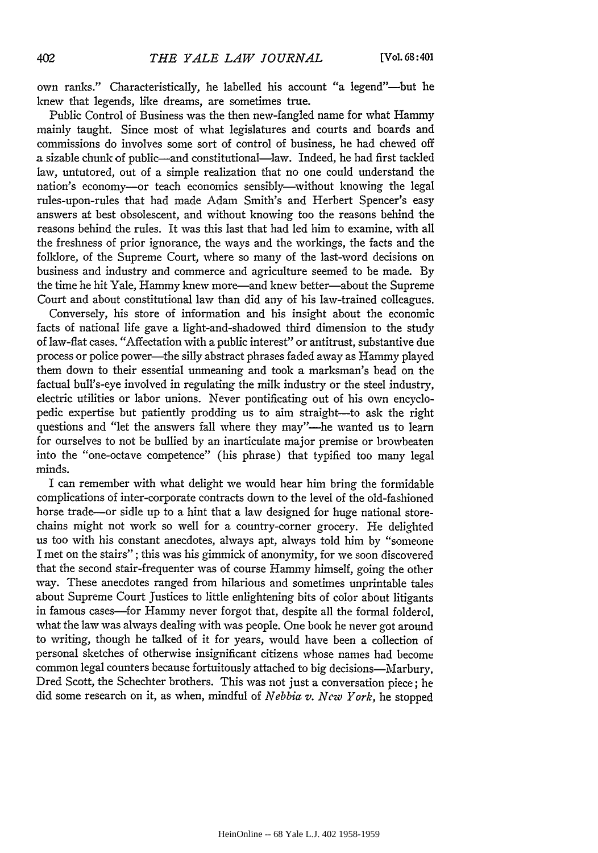own ranks." Characteristically, he labelled his account "a legend"—but he knew that legends, like dreams, are sometimes true.

Public Control of Business was the then new-fangled name for what Hammy mainly taught. Since most of what legislatures and courts and boards and commissions do involves some sort of control of business, he had chewed off a sizable chunk of public-and constitutional-law. Indeed, he had first tackled law, untutored, out of a simple realization that no one could understand the nation's economy-or teach economics sensibly-without knowing the legal rules-upon-rules that had made Adam Smith's and Herbert Spencer's easy answers at best obsolescent, and without knowing too the reasons behind the reasons behind the rules. It was this last that had led him to examine, with all the freshness of prior ignorance, the ways and the workings, the facts and the folklore, of the Supreme Court, where so many of the last-word decisions on business and industry and commerce and agriculture seemed to be made. By the time he hit Yale, Hammy knew more-and knew better-about the Supreme Court and about constitutional law than did any of his law-trained colleagues.

Conversely, his store of information and his insight about the economic facts of national life gave a light-and-shadowed third dimension to the study of law-flat cases. "Affectation with a public interest" or antitrust, substantive due process or police power-the silly abstract phrases faded away as Hammy played them down to their essential unmeaning and took a marksman's bead on the factual bull's-eye involved in regulating the milk industry or the steel industry, electric utilities or labor unions. Never pontificating out of his own encyclopedic expertise but patiently prodding us to aim straight-to ask the right questions and "let the answers fall where they may"-he wanted us to learn for ourselves to not be bullied by an inarticulate major premise or browbeaten into the "one-octave competence" (his phrase) that typified too many legal minds.

I can remember with what delight we would hear him bring the formidable complications of inter-corporate contracts down to the level of the old-fashioned horse trade-or sidle up to a hint that a law designed for huge national storechains might not work so well for a country-corner grocery. He delighted us too with his constant anecdotes, always apt, always told him by "someone I met on the stairs"; this was his gimmick of anonymity, for we soon discovered that the second stair-frequenter was of course Hammy himself, going the other way. These anecdotes ranged from hilarious and sometimes unprintable tales about Supreme Court Justices to little enlightening bits of color about litigants in famous cases-for Hammy never forgot that, despite all the formal folderol, what the law was always dealing with was people. One book he never got around to writing, though he talked of it for years, would have been a collection of personal sketches of otherwise insignificant citizens whose names had become common legal counters because fortuitously attached to big decisions-Marbury, Dred Scott, the Schechter brothers. This was not just a conversation piece; he did some research on it, as when, mindful of *Nebbia v. Ncw York,* he stopped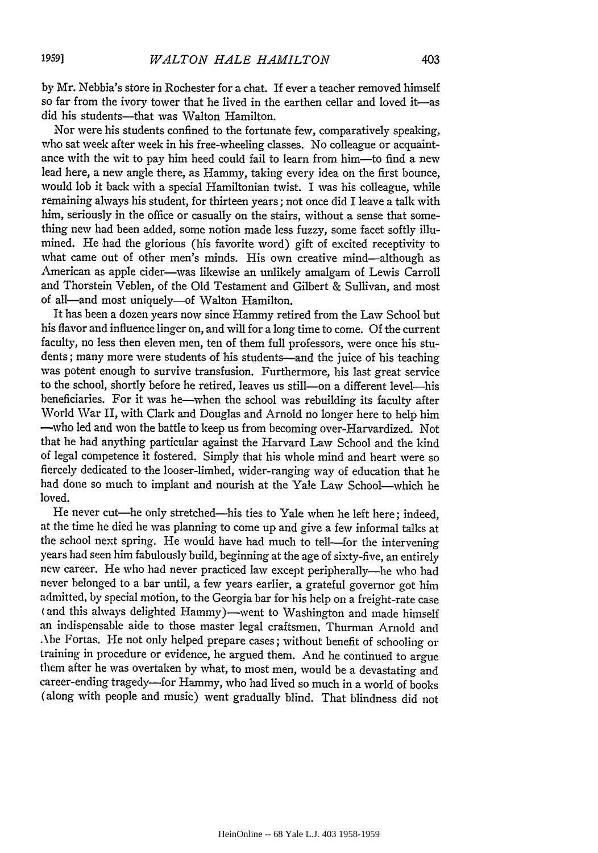by Mr. Nebbia's store in Rochester for a chat. If ever a teacher removed himself so far from the ivory tower that he lived in the earthen cellar and loved it-as did his students-that was Walton Hamilton.

Nor were his students confined to the fortunate few, comparatively speaking, who sat week after week in his free-wheeling classes. No colleague or acquaintance with the wit to pay him heed could fail to learn from him-to find a new lead here, a new angle there, as Hammy, taking every idea on the first bounce, would lob it back with a special Hamiltonian twist. I was his colleague, while remaining always his student, for thirteen years; not once did I leave a talk with him, seriously in the office or casually on the stairs, without a sense that something new had been added, some notion made less fuzzy, some facet softly illumined. He had the glorious (his favorite word) gift of excited receptivity to what came out of other men's minds. His own creative mind-although as American as apple cider--was likewise an unlikely amalgam of Lewis Carroll and Thorstein Veblen, of the Old Testament and Gilbert & Sullivan, and most of all-and most uniquely-of Walton Hamilton.

It has been a dozen years now since Hammy retired from the Law School but his flavor and influence linger on, and will for a long time to come. Of the current faculty, no less then eleven men, ten of them full professors, were once his students; many more were students of his students-and the juice of his teaching was potent enough to survive transfusion. Furthermore, his last great service to the school, shortly before he retired, leaves us still-on a different level-his beneficiaries. For it was he-when the school was rebuilding its faculty after World War II, with Clark and Douglas and Arnold no longer here to help him -who led and won the battle to keep us from becoming over-Harvardized. Not that he had anything particular against the Harvard Law School and the kind of legal competence it fostered. Simply that his whole mind and heart were so fiercely dedicated to the looser-limbed, wider-ranging way of education that he had done so much to implant and nourish at the Yale Law School--which he loved.

He never cut-he only stretched-his ties to Yale when he left here; indeed, at the time he died he was planning to come up and give a few informal talks at the school next spring. He would have had much to tell-for the intervening years had seen him fabulously build, beginning at the age of sixty-five, an entirely new career. He who had never practiced lav except peripherally-he who had never belonged to a bar until, a few years earlier, a grateful governor got him admitted, by special motion, to the Georgia bar for his help on a freight-rate case (and this always delighted Hammy)-went to Washington and made himself an indispensable aide to those master legal craftsmen, Thurman Arnold and Abe Fortas. He not only helped prepare cases; without benefit of schooling or training in procedure or evidence, he argued them. And he continued to argue them after he was overtaken by what, to most men, would be a devastating and career-ending tragedy-for Hammy, who had lived so much in a world of books (along with people and music) went gradually blind. That blindness did not